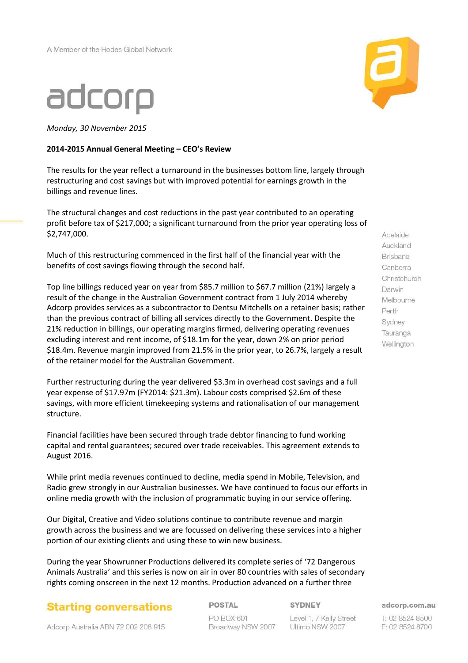## adcorp

*Monday, 30 November 2015*

#### **2014-2015 Annual General Meeting – CEO's Review**



The results for the year reflect a turnaround in the businesses bottom line, largely through restructuring and cost savings but with improved potential for earnings growth in the billings and revenue lines.

The structural changes and cost reductions in the past year contributed to an operating profit before tax of \$217,000; a significant turnaround from the prior year operating loss of \$2,747,000.

Much of this restructuring commenced in the first half of the financial year with the benefits of cost savings flowing through the second half.

Top line billings reduced year on year from \$85.7 million to \$67.7 million (21%) largely a result of the change in the Australian Government contract from 1 July 2014 whereby Adcorp provides services as a subcontractor to Dentsu Mitchells on a retainer basis; rather than the previous contract of billing all services directly to the Government. Despite the 21% reduction in billings, our operating margins firmed, delivering operating revenues excluding interest and rent income, of \$18.1m for the year, down 2% on prior period \$18.4m. Revenue margin improved from 21.5% in the prior year, to 26.7%, largely a result of the retainer model for the Australian Government.

Further restructuring during the year delivered \$3.3m in overhead cost savings and a full year expense of \$17.97m (FY2014: \$21.3m). Labour costs comprised \$2.6m of these savings, with more efficient timekeeping systems and rationalisation of our management structure.

Financial facilities have been secured through trade debtor financing to fund working capital and rental guarantees; secured over trade receivables. This agreement extends to August 2016.

While print media revenues continued to decline, media spend in Mobile, Television, and Radio grew strongly in our Australian businesses. We have continued to focus our efforts in online media growth with the inclusion of programmatic buying in our service offering.

Our Digital, Creative and Video solutions continue to contribute revenue and margin growth across the business and we are focussed on delivering these services into a higher portion of our existing clients and using these to win new business.

During the year Showrunner Productions delivered its complete series of '72 Dangerous Animals Australia' and this series is now on air in over 80 countries with sales of secondary rights coming onscreen in the next 12 months. Production advanced on a further three

**Starting conversations** 

POSTAL PO BOX 601 Broadway NSW 2007 SYDNEY

Level 1, 7 Kelly Street Ultimo NSW 2007

Auckland Brisbane Canberra Christchurch Darwin Melbourne Perth Sydney Tauranga Wellington

Adelaide

adcorp.com.au

T: 02 8524 8500 F: 02 8524 8700